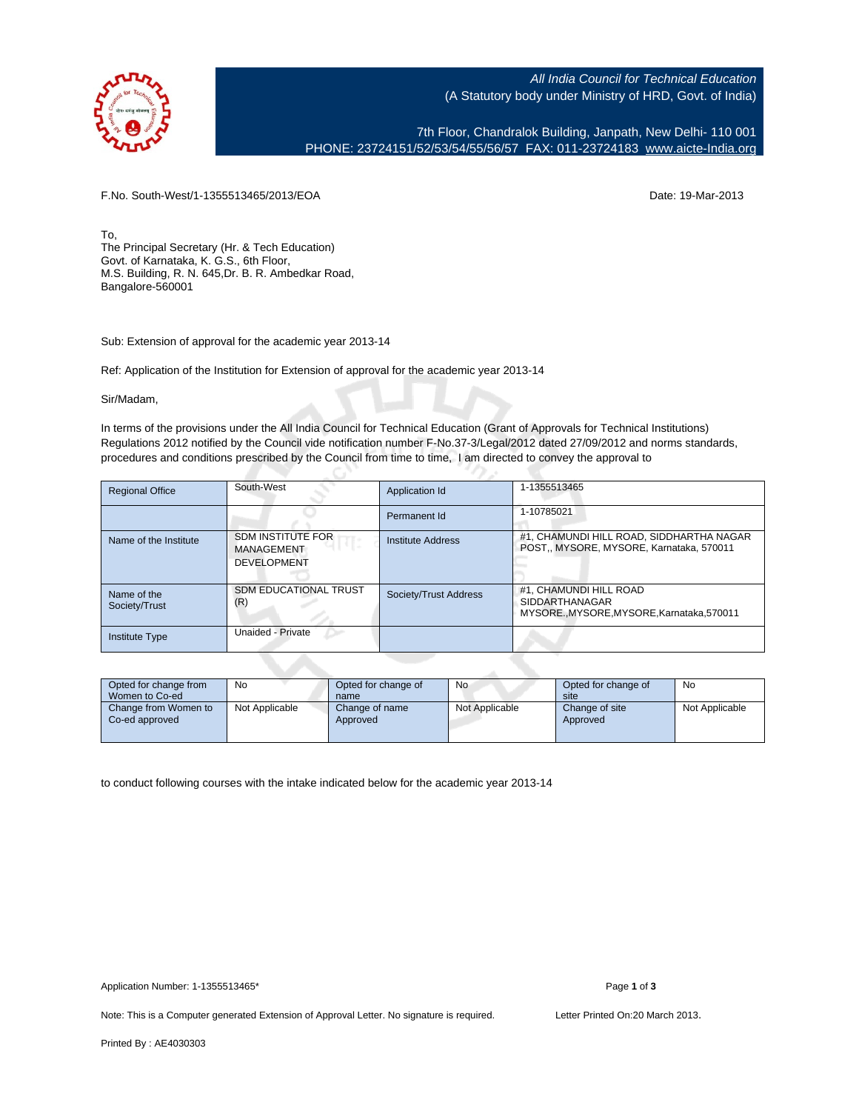

All India Council for Technical Education (A Statutory body under Ministry of HRD, Govt. of India)

7th Floor, Chandralok Building, Janpath, New Delhi- 110 001 PHONE: 23724151/52/53/54/55/56/57 FAX: 011-23724183 [www.aicte-India.org](http://www.aicte-India.org)

F.No. South-West/1-1355513465/2013/EOA Date: 19-Mar-2013

To, The Principal Secretary (Hr. & Tech Education) Govt. of Karnataka, K. G.S., 6th Floor, M.S. Building, R. N. 645,Dr. B. R. Ambedkar Road, Bangalore-560001

Sub: Extension of approval for the academic year 2013-14

Ref: Application of the Institution for Extension of approval for the academic year 2013-14

Sir/Madam,

In terms of the provisions under the All India Council for Technical Education (Grant of Approvals for Technical Institutions) Regulations 2012 notified by the Council vide notification number F-No.37-3/Legal/2012 dated 27/09/2012 and norms standards, procedures and conditions prescribed by the Council from time to time, I am directed to convey the approval to

| <b>Regional Office</b>       | South-West                                                          | Application Id        | 1-1355513465                                                                            |  |  |  |
|------------------------------|---------------------------------------------------------------------|-----------------------|-----------------------------------------------------------------------------------------|--|--|--|
|                              |                                                                     | Permanent Id          | 1-10785021                                                                              |  |  |  |
| Name of the Institute        | <b>SDM INSTITUTE FOR</b><br><b>MANAGEMENT</b><br><b>DEVELOPMENT</b> | Institute Address     | #1, CHAMUNDI HILL ROAD, SIDDHARTHA NAGAR<br>POST., MYSORE, MYSORE, Karnataka, 570011    |  |  |  |
| Name of the<br>Society/Trust | <b>SDM EDUCATIONAL TRUST</b><br>(R)                                 | Society/Trust Address | #1. CHAMUNDI HILL ROAD<br><b>SIDDARTHANAGAR</b><br>MYSOREMYSORE.MYSORE.Karnataka.570011 |  |  |  |
| <b>Institute Type</b>        | Unaided - Private                                                   |                       |                                                                                         |  |  |  |

| Opted for change from<br>Women to Co-ed | No             | Opted for change of<br>name | No             | Opted for change of<br>site | No             |
|-----------------------------------------|----------------|-----------------------------|----------------|-----------------------------|----------------|
| Change from Women to<br>Co-ed approved  | Not Applicable | Change of name<br>Approved  | Not Applicable | Change of site<br>Approved  | Not Applicable |

to conduct following courses with the intake indicated below for the academic year 2013-14

Note: This is a Computer generated Extension of Approval Letter. No signature is required. Letter Printed On:20 March 2013.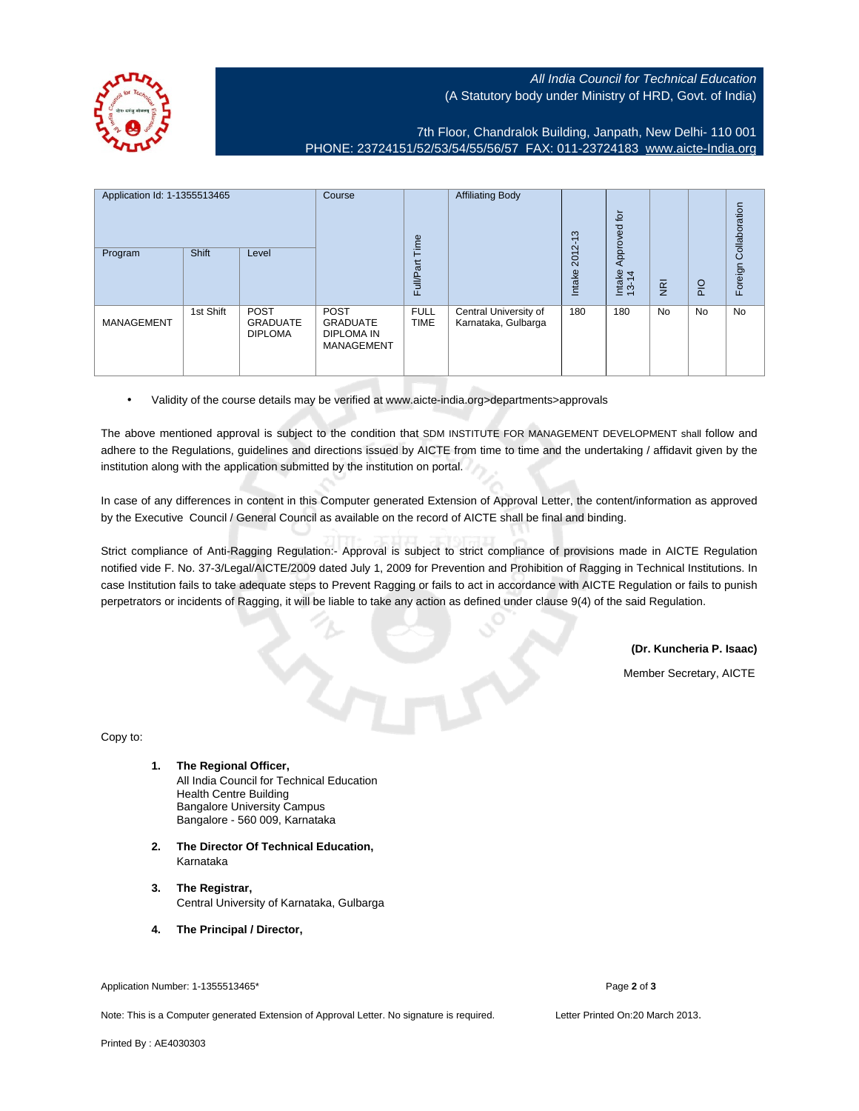

## All India Council for Technical Education (A Statutory body under Ministry of HRD, Govt. of India)

7th Floor, Chandralok Building, Janpath, New Delhi- 110 001 PHONE: 23724151/52/53/54/55/56/57 FAX: 011-23724183 [www.aicte-India.org](http://www.aicte-India.org)

| Application Id: 1-1355513465 |           | Course<br>Time                                   | <b>Affiliating Body</b>                                                  | ო<br>$\overline{\phantom{0}}$ | tōr<br>Approved                              |                |                 |                |             |                       |
|------------------------------|-----------|--------------------------------------------------|--------------------------------------------------------------------------|-------------------------------|----------------------------------------------|----------------|-----------------|----------------|-------------|-----------------------|
| Program                      | Shift     | Level                                            |                                                                          | Full/Part                     |                                              | 2012<br>Intake | Intake<br>13-14 | $\overline{g}$ | $rac{O}{P}$ | Foreign Collaboration |
| <b>MANAGEMENT</b>            | 1st Shift | <b>POST</b><br><b>GRADUATE</b><br><b>DIPLOMA</b> | <b>POST</b><br><b>GRADUATE</b><br><b>DIPLOMA IN</b><br><b>MANAGEMENT</b> | <b>FULL</b><br><b>TIME</b>    | Central University of<br>Karnataka, Gulbarga | 180            | 180             | <b>No</b>      | No          | No                    |

• Validity of the course details may be verified at www.aicte-india.org>departments>approvals

The above mentioned approval is subject to the condition that SDM INSTITUTE FOR MANAGEMENT DEVELOPMENT shall follow and adhere to the Regulations, guidelines and directions issued by AICTE from time to time and the undertaking / affidavit given by the institution along with the application submitted by the institution on portal.

In case of any differences in content in this Computer generated Extension of Approval Letter, the content/information as approved by the Executive Council / General Council as available on the record of AICTE shall be final and binding.

Strict compliance of Anti-Ragging Regulation:- Approval is subject to strict compliance of provisions made in AICTE Regulation notified vide F. No. 37-3/Legal/AICTE/2009 dated July 1, 2009 for Prevention and Prohibition of Ragging in Technical Institutions. In case Institution fails to take adequate steps to Prevent Ragging or fails to act in accordance with AICTE Regulation or fails to punish perpetrators or incidents of Ragging, it will be liable to take any action as defined under clause 9(4) of the said Regulation.

**(Dr. Kuncheria P. Isaac)**

Member Secretary, AICTE

Copy to:

- **1. The Regional Officer,** All India Council for Technical Education Health Centre Building Bangalore University Campus Bangalore - 560 009, Karnataka
- **2. The Director Of Technical Education,** Karnataka
- **3. The Registrar,** Central University of Karnataka, Gulbarga
- **4. The Principal / Director,**

Application Number: 1-1355513465\* Page **2** of **3**

Note: This is a Computer generated Extension of Approval Letter. No signature is required. Letter Printed On:20 March 2013.